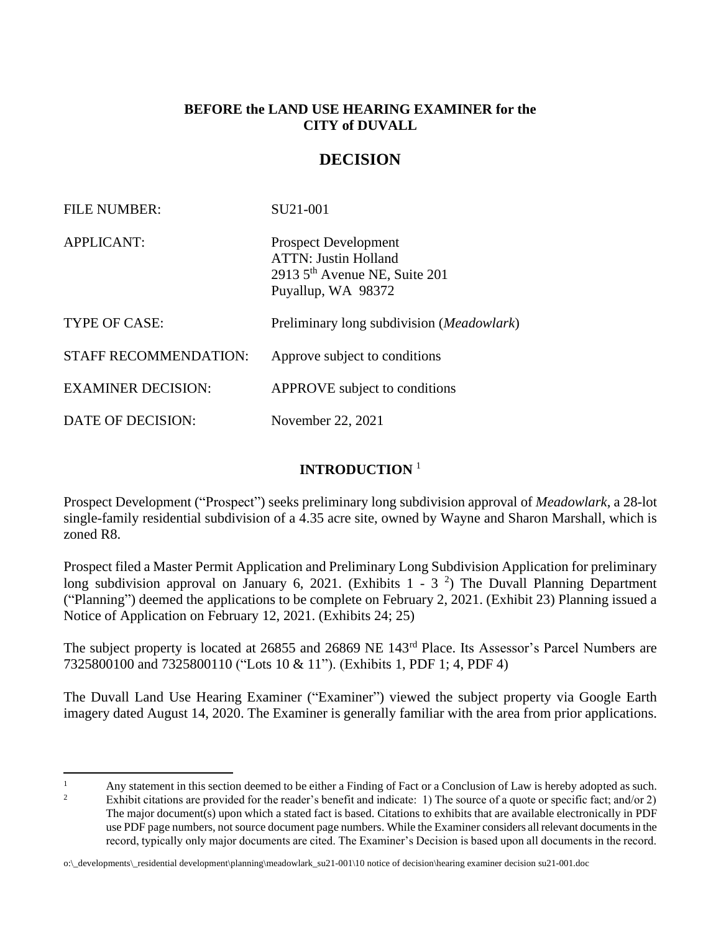# **BEFORE the LAND USE HEARING EXAMINER for the CITY of DUVALL**

# **DECISION**

| <b>FILE NUMBER:</b>          | SU21-001                                                                                                                      |
|------------------------------|-------------------------------------------------------------------------------------------------------------------------------|
| <b>APPLICANT:</b>            | <b>Prospect Development</b><br><b>ATTN: Justin Holland</b><br>2913 5 <sup>th</sup> Avenue NE, Suite 201<br>Puyallup, WA 98372 |
| TYPE OF CASE:                | Preliminary long subdivision (Meadowlark)                                                                                     |
| <b>STAFF RECOMMENDATION:</b> | Approve subject to conditions                                                                                                 |
| <b>EXAMINER DECISION:</b>    | APPROVE subject to conditions                                                                                                 |
| DATE OF DECISION:            | November 22, 2021                                                                                                             |

# **INTRODUCTION** <sup>1</sup>

Prospect Development ("Prospect") seeks preliminary long subdivision approval of *Meadowlark*, a 28-lot single-family residential subdivision of a 4.35 acre site, owned by Wayne and Sharon Marshall, which is zoned R8.

Prospect filed a Master Permit Application and Preliminary Long Subdivision Application for preliminary long subdivision approval on January 6, 2021. (Exhibits  $1 - 3$ <sup>2</sup>) The Duvall Planning Department ("Planning") deemed the applications to be complete on February 2, 2021. (Exhibit 23) Planning issued a Notice of Application on February 12, 2021. (Exhibits 24; 25)

The subject property is located at 26855 and 26869 NE 143rd Place. Its Assessor's Parcel Numbers are 7325800100 and 7325800110 ("Lots 10 & 11"). (Exhibits 1, PDF 1; 4, PDF 4)

The Duvall Land Use Hearing Examiner ("Examiner") viewed the subject property via Google Earth imagery dated August 14, 2020. The Examiner is generally familiar with the area from prior applications.

<sup>&</sup>lt;sup>1</sup> Any statement in this section deemed to be either a Finding of Fact or a Conclusion of Law is hereby adopted as such.<br><sup>2</sup> Enhibit site time are gravited for the grad at herefit and indicates 1). The graves of a mote a

Exhibit citations are provided for the reader's benefit and indicate: 1) The source of a quote or specific fact; and/or 2) The major document(s) upon which a stated fact is based. Citations to exhibits that are available electronically in PDF use PDF page numbers, not source document page numbers. While the Examiner considers all relevant documents in the record, typically only major documents are cited. The Examiner's Decision is based upon all documents in the record.

o:\\_developments\\_residential development\planning\meadowlark\_su21-001\10 notice of decision\hearing examiner decision su21-001.doc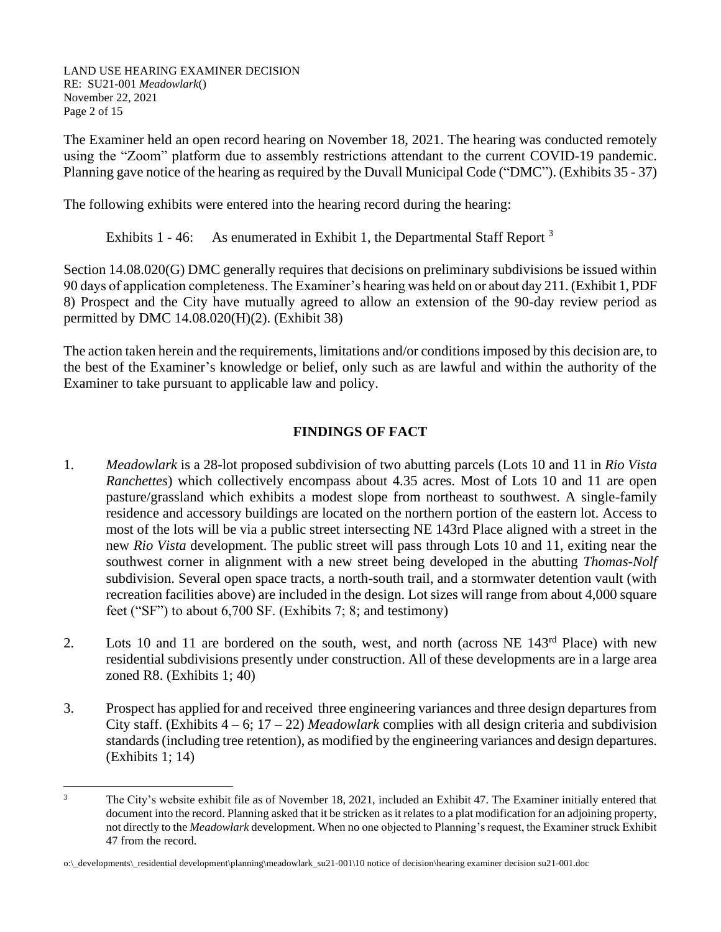LAND USE HEARING EXAMINER DECISION RE: SU21-001 *Meadowlark*() November 22, 2021 Page 2 of 15

The Examiner held an open record hearing on November 18, 2021. The hearing was conducted remotely using the "Zoom" platform due to assembly restrictions attendant to the current COVID-19 pandemic. Planning gave notice of the hearing as required by the Duvall Municipal Code ("DMC"). (Exhibits 35 - 37)

The following exhibits were entered into the hearing record during the hearing:

Exhibits 1 - 46: As enumerated in Exhibit 1, the Departmental Staff Report  $3$ 

Section 14.08.020(G) DMC generally requires that decisions on preliminary subdivisions be issued within 90 days of application completeness. The Examiner's hearing was held on or about day 211. (Exhibit 1, PDF 8) Prospect and the City have mutually agreed to allow an extension of the 90-day review period as permitted by DMC 14.08.020(H)(2). (Exhibit 38)

The action taken herein and the requirements, limitations and/or conditions imposed by this decision are, to the best of the Examiner's knowledge or belief, only such as are lawful and within the authority of the Examiner to take pursuant to applicable law and policy.

# **FINDINGS OF FACT**

- 1. *Meadowlark* is a 28-lot proposed subdivision of two abutting parcels (Lots 10 and 11 in *Rio Vista Ranchettes*) which collectively encompass about 4.35 acres. Most of Lots 10 and 11 are open pasture/grassland which exhibits a modest slope from northeast to southwest. A single-family residence and accessory buildings are located on the northern portion of the eastern lot. Access to most of the lots will be via a public street intersecting NE 143rd Place aligned with a street in the new *Rio Vista* development. The public street will pass through Lots 10 and 11, exiting near the southwest corner in alignment with a new street being developed in the abutting *Thomas-Nolf* subdivision. Several open space tracts, a north-south trail, and a stormwater detention vault (with recreation facilities above) are included in the design. Lot sizes will range from about 4,000 square feet ("SF") to about 6,700 SF. (Exhibits 7; 8; and testimony)
- 2. Lots 10 and 11 are bordered on the south, west, and north (across NE 143<sup>rd</sup> Place) with new residential subdivisions presently under construction. All of these developments are in a large area zoned R8. (Exhibits 1; 40)
- 3. Prospect has applied for and received three engineering variances and three design departures from City staff. (Exhibits 4 – 6; 17 – 22) *Meadowlark* complies with all design criteria and subdivision standards(including tree retention), as modified by the engineering variances and design departures. (Exhibits 1; 14)

<sup>&</sup>lt;sup>3</sup> The City's website exhibit file as of November 18, 2021, included an Exhibit 47. The Examiner initially entered that document into the record. Planning asked that it be stricken as it relates to a plat modification for an adjoining property, not directly to the *Meadowlark* development. When no one objected to Planning's request, the Examiner struck Exhibit 47 from the record.

o:\\_developments\\_residential development\planning\meadowlark\_su21-001\10 notice of decision\hearing examiner decision su21-001.doc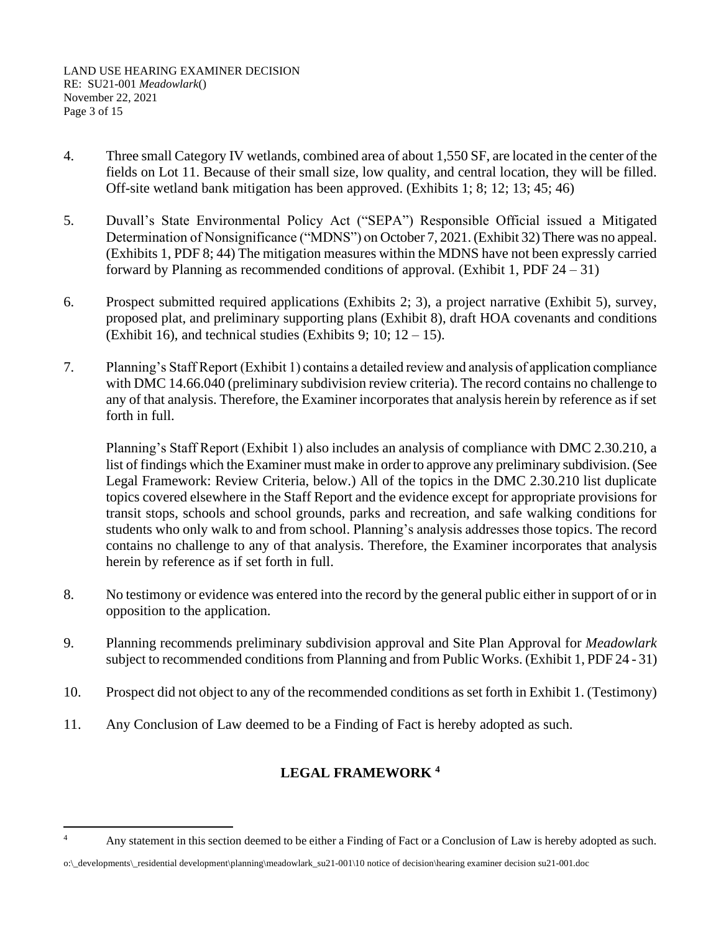LAND USE HEARING EXAMINER DECISION RE: SU21-001 *Meadowlark*() November 22, 2021 Page 3 of 15

- 4. Three small Category IV wetlands, combined area of about 1,550 SF, are located in the center of the fields on Lot 11. Because of their small size, low quality, and central location, they will be filled. Off-site wetland bank mitigation has been approved. (Exhibits 1; 8; 12; 13; 45; 46)
- 5. Duvall's State Environmental Policy Act ("SEPA") Responsible Official issued a Mitigated Determination of Nonsignificance ("MDNS") on October 7, 2021. (Exhibit 32) There was no appeal. (Exhibits 1, PDF 8; 44) The mitigation measures within the MDNS have not been expressly carried forward by Planning as recommended conditions of approval. (Exhibit 1, PDF  $24 - 31$ )
- 6. Prospect submitted required applications (Exhibits 2; 3), a project narrative (Exhibit 5), survey, proposed plat, and preliminary supporting plans (Exhibit 8), draft HOA covenants and conditions (Exhibit 16), and technical studies (Exhibits 9; 10;  $12 - 15$ ).
- 7. Planning's Staff Report (Exhibit 1) contains a detailed review and analysis of application compliance with DMC 14.66.040 (preliminary subdivision review criteria). The record contains no challenge to any of that analysis. Therefore, the Examiner incorporates that analysis herein by reference as if set forth in full.

Planning's Staff Report (Exhibit 1) also includes an analysis of compliance with DMC 2.30.210, a list of findings which the Examiner must make in order to approve any preliminary subdivision. (See Legal Framework: Review Criteria, below.) All of the topics in the DMC 2.30.210 list duplicate topics covered elsewhere in the Staff Report and the evidence except for appropriate provisions for transit stops, schools and school grounds, parks and recreation, and safe walking conditions for students who only walk to and from school. Planning's analysis addresses those topics. The record contains no challenge to any of that analysis. Therefore, the Examiner incorporates that analysis herein by reference as if set forth in full.

- 8. No testimony or evidence was entered into the record by the general public either in support of or in opposition to the application.
- 9. Planning recommends preliminary subdivision approval and Site Plan Approval for *Meadowlark* subject to recommended conditions from Planning and from Public Works. (Exhibit 1, PDF 24 - 31)
- 10. Prospect did not object to any of the recommended conditions as set forth in Exhibit 1. (Testimony)
- 11. Any Conclusion of Law deemed to be a Finding of Fact is hereby adopted as such.

# **LEGAL FRAMEWORK <sup>4</sup>**

<sup>&</sup>lt;sup>4</sup> Any statement in this section deemed to be either a Finding of Fact or a Conclusion of Law is hereby adopted as such.

o:\\_developments\\_residential development\planning\meadowlark\_su21-001\10 notice of decision\hearing examiner decision su21-001.doc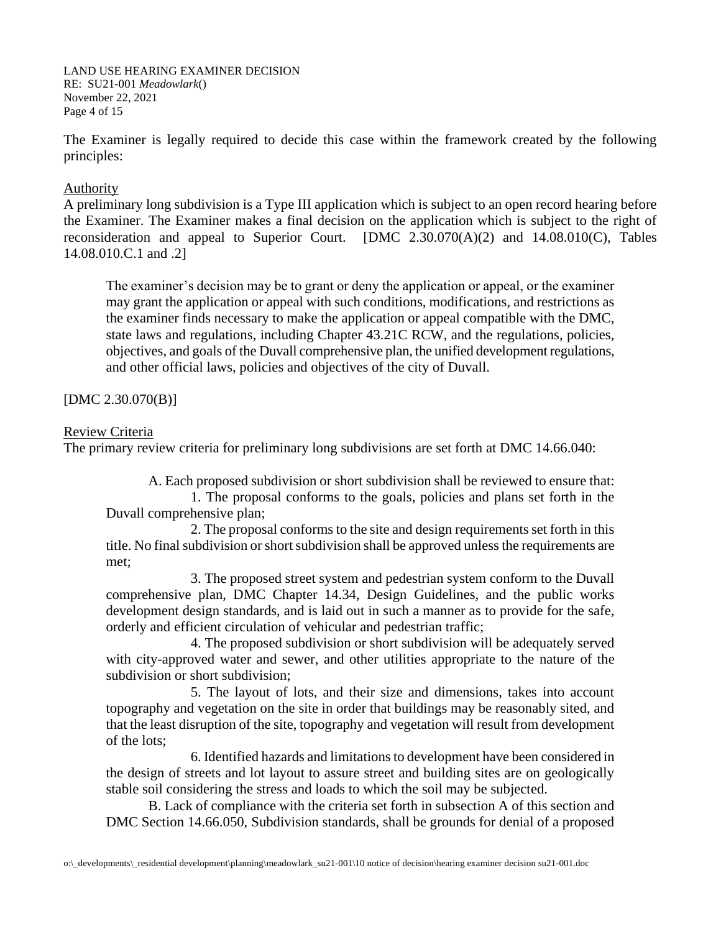LAND USE HEARING EXAMINER DECISION RE: SU21-001 *Meadowlark*() November 22, 2021 Page 4 of 15

The Examiner is legally required to decide this case within the framework created by the following principles:

## Authority

A preliminary long subdivision is a Type III application which is subject to an open record hearing before the Examiner. The Examiner makes a final decision on the application which is subject to the right of reconsideration and appeal to Superior Court. [DMC 2.30.070(A)(2) and 14.08.010(C), Tables 14.08.010.C.1 and .2]

The examiner's decision may be to grant or deny the application or appeal, or the examiner may grant the application or appeal with such conditions, modifications, and restrictions as the examiner finds necessary to make the application or appeal compatible with the DMC, state laws and regulations, including Chapter 43.21C RCW, and the regulations, policies, objectives, and goals of the Duvall comprehensive plan, the unified development regulations, and other official laws, policies and objectives of the city of Duvall.

[DMC 2.30.070(B)]

#### Review Criteria

The primary review criteria for preliminary long subdivisions are set forth at DMC 14.66.040:

A. Each proposed subdivision or short subdivision shall be reviewed to ensure that:

1. The proposal conforms to the goals, policies and plans set forth in the Duvall comprehensive plan;

2. The proposal conforms to the site and design requirements set forth in this title. No final subdivision or short subdivision shall be approved unless the requirements are met;

3. The proposed street system and pedestrian system conform to the Duvall comprehensive plan, DMC Chapter 14.34, Design Guidelines, and the public works development design standards, and is laid out in such a manner as to provide for the safe, orderly and efficient circulation of vehicular and pedestrian traffic;

4. The proposed subdivision or short subdivision will be adequately served with city-approved water and sewer, and other utilities appropriate to the nature of the subdivision or short subdivision;

5. The layout of lots, and their size and dimensions, takes into account topography and vegetation on the site in order that buildings may be reasonably sited, and that the least disruption of the site, topography and vegetation will result from development of the lots;

6. Identified hazards and limitations to development have been considered in the design of streets and lot layout to assure street and building sites are on geologically stable soil considering the stress and loads to which the soil may be subjected.

B. Lack of compliance with the criteria set forth in subsection A of this section and DMC Section 14.66.050, Subdivision standards, shall be grounds for denial of a proposed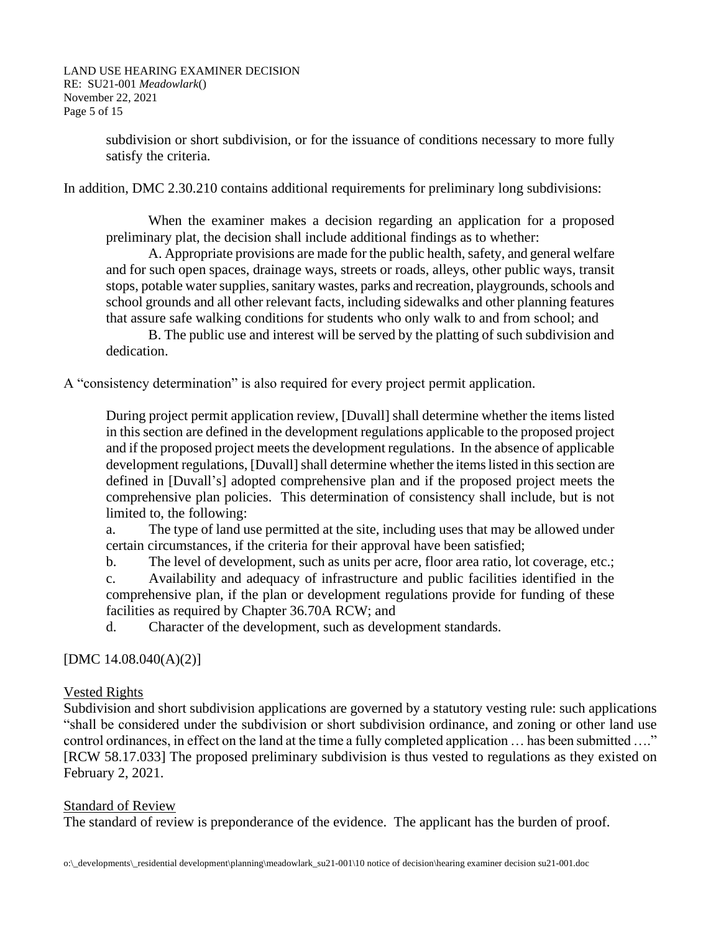LAND USE HEARING EXAMINER DECISION RE: SU21-001 *Meadowlark*() November 22, 2021 Page 5 of 15

> subdivision or short subdivision, or for the issuance of conditions necessary to more fully satisfy the criteria.

In addition, DMC 2.30.210 contains additional requirements for preliminary long subdivisions:

When the examiner makes a decision regarding an application for a proposed preliminary plat, the decision shall include additional findings as to whether:

A. Appropriate provisions are made for the public health, safety, and general welfare and for such open spaces, drainage ways, streets or roads, alleys, other public ways, transit stops, potable water supplies, sanitary wastes, parks and recreation, playgrounds, schools and school grounds and all other relevant facts, including sidewalks and other planning features that assure safe walking conditions for students who only walk to and from school; and

B. The public use and interest will be served by the platting of such subdivision and dedication.

A "consistency determination" is also required for every project permit application.

During project permit application review, [Duvall] shall determine whether the items listed in this section are defined in the development regulations applicable to the proposed project and if the proposed project meets the development regulations. In the absence of applicable development regulations, [Duvall] shall determine whether the items listed in this section are defined in [Duvall's] adopted comprehensive plan and if the proposed project meets the comprehensive plan policies. This determination of consistency shall include, but is not limited to, the following:

a. The type of land use permitted at the site, including uses that may be allowed under certain circumstances, if the criteria for their approval have been satisfied;

b. The level of development, such as units per acre, floor area ratio, lot coverage, etc.;

c. Availability and adequacy of infrastructure and public facilities identified in the comprehensive plan, if the plan or development regulations provide for funding of these facilities as required by Chapter 36.70A RCW; and

d. Character of the development, such as development standards.

## [DMC 14.08.040(A)(2)]

#### Vested Rights

Subdivision and short subdivision applications are governed by a statutory vesting rule: such applications "shall be considered under the subdivision or short subdivision ordinance, and zoning or other land use control ordinances, in effect on the land at the time a fully completed application … has been submitted …." [RCW 58.17.033] The proposed preliminary subdivision is thus vested to regulations as they existed on February 2, 2021.

#### Standard of Review

The standard of review is preponderance of the evidence. The applicant has the burden of proof.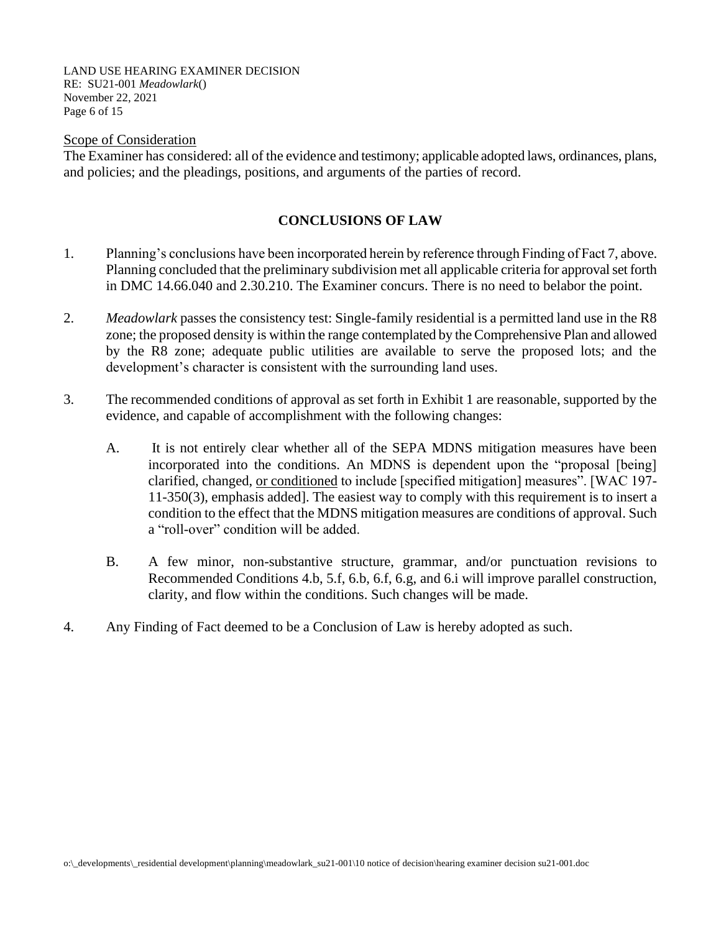LAND USE HEARING EXAMINER DECISION RE: SU21-001 *Meadowlark*() November 22, 2021 Page 6 of 15

#### Scope of Consideration

The Examiner has considered: all of the evidence and testimony; applicable adopted laws, ordinances, plans, and policies; and the pleadings, positions, and arguments of the parties of record.

## **CONCLUSIONS OF LAW**

- 1. Planning's conclusions have been incorporated herein by reference through Finding of Fact 7, above. Planning concluded that the preliminary subdivision met all applicable criteria for approval set forth in DMC 14.66.040 and 2.30.210. The Examiner concurs. There is no need to belabor the point.
- 2. *Meadowlark* passes the consistency test: Single-family residential is a permitted land use in the R8 zone; the proposed density is within the range contemplated by the Comprehensive Plan and allowed by the R8 zone; adequate public utilities are available to serve the proposed lots; and the development's character is consistent with the surrounding land uses.
- 3. The recommended conditions of approval as set forth in Exhibit 1 are reasonable, supported by the evidence, and capable of accomplishment with the following changes:
	- A. It is not entirely clear whether all of the SEPA MDNS mitigation measures have been incorporated into the conditions. An MDNS is dependent upon the "proposal [being] clarified, changed, or conditioned to include [specified mitigation] measures". [WAC 197- 11-350(3), emphasis added]. The easiest way to comply with this requirement is to insert a condition to the effect that the MDNS mitigation measures are conditions of approval. Such a "roll-over" condition will be added.
	- B. A few minor, non-substantive structure, grammar, and/or punctuation revisions to Recommended Conditions 4.b, 5.f, 6.b, 6.f, 6.g, and 6.i will improve parallel construction, clarity, and flow within the conditions. Such changes will be made.
- 4. Any Finding of Fact deemed to be a Conclusion of Law is hereby adopted as such.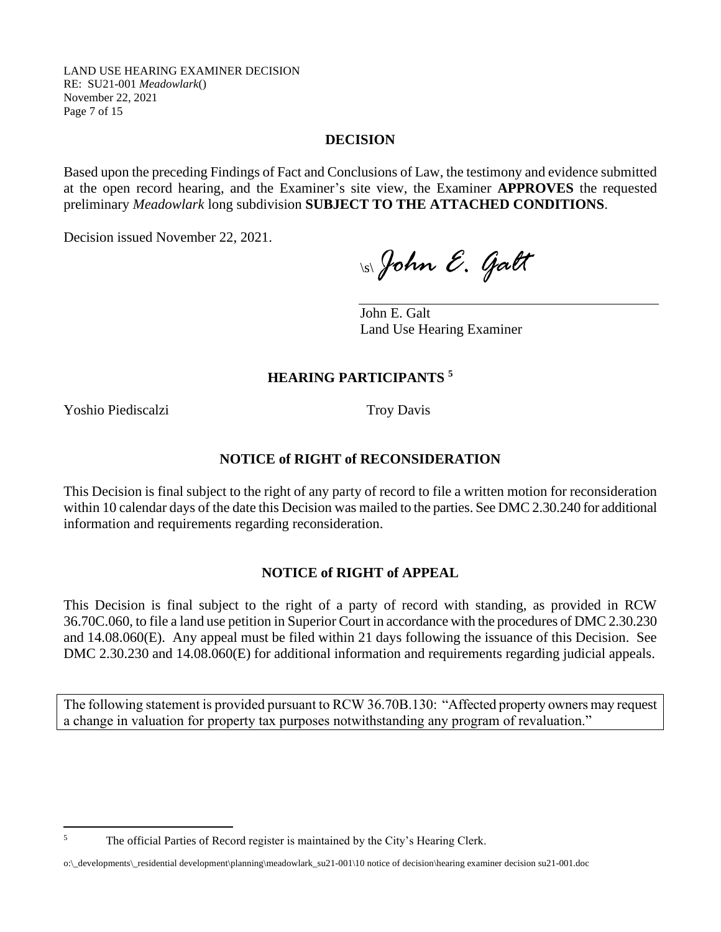LAND USE HEARING EXAMINER DECISION RE: SU21-001 *Meadowlark*() November 22, 2021 Page 7 of 15

### **DECISION**

Based upon the preceding Findings of Fact and Conclusions of Law, the testimony and evidence submitted at the open record hearing, and the Examiner's site view, the Examiner **APPROVES** the requested preliminary *Meadowlark* long subdivision **SUBJECT TO THE ATTACHED CONDITIONS**.

Decision issued November 22, 2021.

\s\*John E. Galt*

John E. Galt Land Use Hearing Examiner

## **HEARING PARTICIPANTS <sup>5</sup>**

Yoshio Piediscalzi Troy Davis

#### **NOTICE of RIGHT of RECONSIDERATION**

This Decision is final subject to the right of any party of record to file a written motion for reconsideration within 10 calendar days of the date this Decision was mailed to the parties. See DMC 2.30.240 for additional information and requirements regarding reconsideration.

## **NOTICE of RIGHT of APPEAL**

This Decision is final subject to the right of a party of record with standing, as provided in RCW 36.70C.060, to file a land use petition in Superior Court in accordance with the procedures of DMC 2.30.230 and 14.08.060(E). Any appeal must be filed within 21 days following the issuance of this Decision. See DMC 2.30.230 and 14.08.060(E) for additional information and requirements regarding judicial appeals.

The following statement is provided pursuant to RCW 36.70B.130: "Affected property owners may request a change in valuation for property tax purposes notwithstanding any program of revaluation."

<sup>&</sup>lt;sup>5</sup> The official Parties of Record register is maintained by the City's Hearing Clerk.

o:\\_developments\\_residential development\planning\meadowlark\_su21-001\10 notice of decision\hearing examiner decision su21-001.doc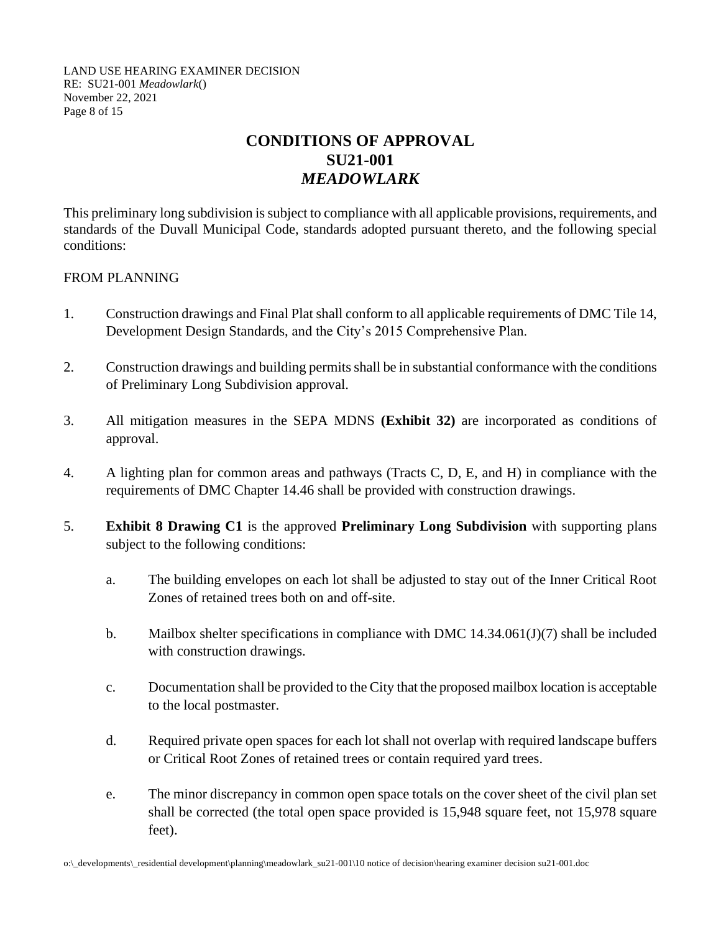LAND USE HEARING EXAMINER DECISION RE: SU21-001 *Meadowlark*() November 22, 2021 Page 8 of 15

# **CONDITIONS OF APPROVAL SU21-001** *MEADOWLARK*

This preliminary long subdivision is subject to compliance with all applicable provisions, requirements, and standards of the Duvall Municipal Code, standards adopted pursuant thereto, and the following special conditions:

## FROM PLANNING

- 1. Construction drawings and Final Plat shall conform to all applicable requirements of DMC Tile 14, Development Design Standards, and the City's 2015 Comprehensive Plan.
- 2. Construction drawings and building permits shall be in substantial conformance with the conditions of Preliminary Long Subdivision approval.
- 3. All mitigation measures in the SEPA MDNS **(Exhibit 32)** are incorporated as conditions of approval.
- 4. A lighting plan for common areas and pathways (Tracts C, D, E, and H) in compliance with the requirements of DMC Chapter 14.46 shall be provided with construction drawings.
- 5. **Exhibit 8 Drawing C1** is the approved **Preliminary Long Subdivision** with supporting plans subject to the following conditions:
	- a. The building envelopes on each lot shall be adjusted to stay out of the Inner Critical Root Zones of retained trees both on and off-site.
	- b. Mailbox shelter specifications in compliance with DMC 14.34.061(J)(7) shall be included with construction drawings.
	- c. Documentation shall be provided to the City that the proposed mailbox location is acceptable to the local postmaster.
	- d. Required private open spaces for each lot shall not overlap with required landscape buffers or Critical Root Zones of retained trees or contain required yard trees.
	- e. The minor discrepancy in common open space totals on the cover sheet of the civil plan set shall be corrected (the total open space provided is 15,948 square feet, not 15,978 square feet).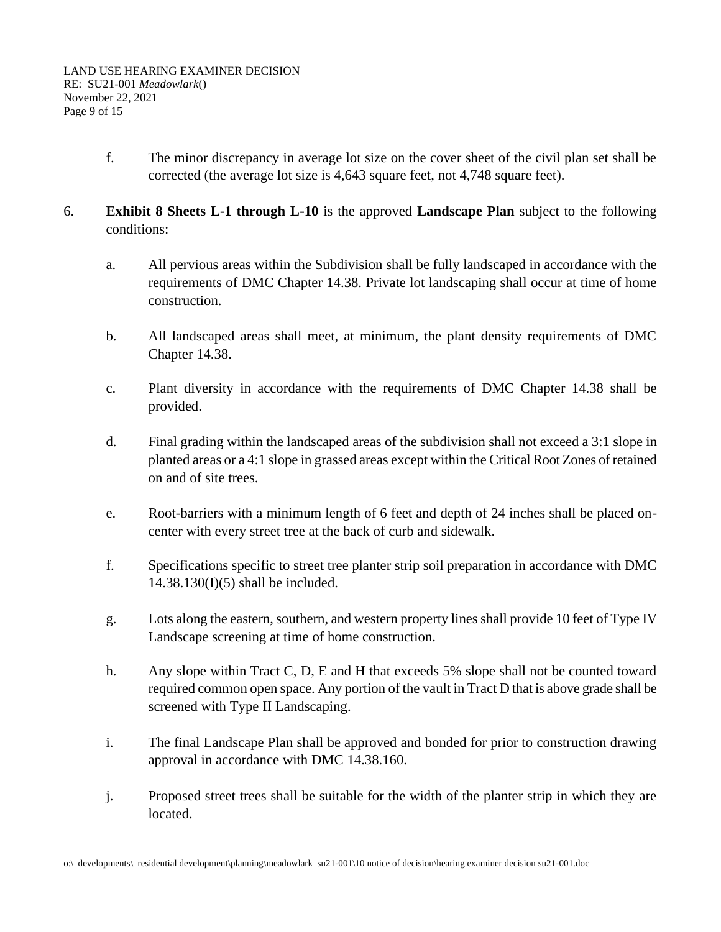- f. The minor discrepancy in average lot size on the cover sheet of the civil plan set shall be corrected (the average lot size is 4,643 square feet, not 4,748 square feet).
- 6. **Exhibit 8 Sheets L-1 through L-10** is the approved **Landscape Plan** subject to the following conditions:
	- a. All pervious areas within the Subdivision shall be fully landscaped in accordance with the requirements of DMC Chapter 14.38. Private lot landscaping shall occur at time of home construction.
	- b. All landscaped areas shall meet, at minimum, the plant density requirements of DMC Chapter 14.38.
	- c. Plant diversity in accordance with the requirements of DMC Chapter 14.38 shall be provided.
	- d. Final grading within the landscaped areas of the subdivision shall not exceed a 3:1 slope in planted areas or a 4:1 slope in grassed areas except within the Critical Root Zones of retained on and of site trees.
	- e. Root-barriers with a minimum length of 6 feet and depth of 24 inches shall be placed oncenter with every street tree at the back of curb and sidewalk.
	- f. Specifications specific to street tree planter strip soil preparation in accordance with DMC  $14.38.130(I)(5)$  shall be included.
	- g. Lots along the eastern, southern, and western property lines shall provide 10 feet of Type IV Landscape screening at time of home construction.
	- h. Any slope within Tract C, D, E and H that exceeds 5% slope shall not be counted toward required common open space. Any portion of the vault in Tract D that is above grade shall be screened with Type II Landscaping.
	- i. The final Landscape Plan shall be approved and bonded for prior to construction drawing approval in accordance with DMC 14.38.160.
	- j. Proposed street trees shall be suitable for the width of the planter strip in which they are located.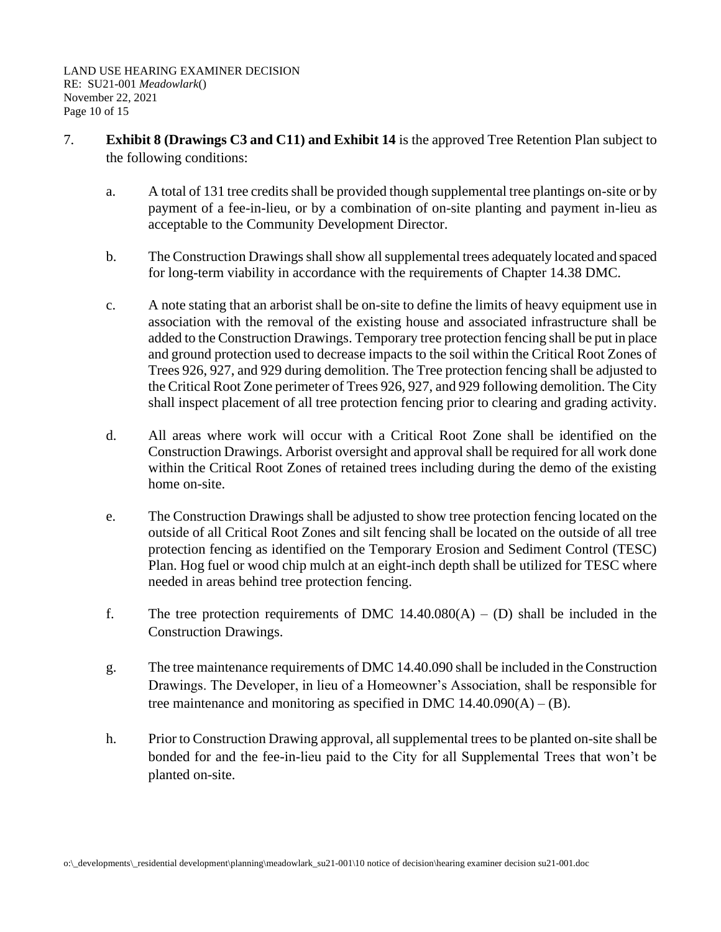- 7. **Exhibit 8 (Drawings C3 and C11) and Exhibit 14** is the approved Tree Retention Plan subject to the following conditions:
	- a. A total of 131 tree credits shall be provided though supplemental tree plantings on-site or by payment of a fee-in-lieu, or by a combination of on-site planting and payment in-lieu as acceptable to the Community Development Director.
	- b. The Construction Drawings shall show all supplemental trees adequately located and spaced for long-term viability in accordance with the requirements of Chapter 14.38 DMC.
	- c. A note stating that an arborist shall be on-site to define the limits of heavy equipment use in association with the removal of the existing house and associated infrastructure shall be added to the Construction Drawings. Temporary tree protection fencing shall be put in place and ground protection used to decrease impacts to the soil within the Critical Root Zones of Trees 926, 927, and 929 during demolition. The Tree protection fencing shall be adjusted to the Critical Root Zone perimeter of Trees 926, 927, and 929 following demolition. The City shall inspect placement of all tree protection fencing prior to clearing and grading activity.
	- d. All areas where work will occur with a Critical Root Zone shall be identified on the Construction Drawings. Arborist oversight and approval shall be required for all work done within the Critical Root Zones of retained trees including during the demo of the existing home on-site.
	- e. The Construction Drawings shall be adjusted to show tree protection fencing located on the outside of all Critical Root Zones and silt fencing shall be located on the outside of all tree protection fencing as identified on the Temporary Erosion and Sediment Control (TESC) Plan. Hog fuel or wood chip mulch at an eight-inch depth shall be utilized for TESC where needed in areas behind tree protection fencing.
	- f. The tree protection requirements of DMC  $14.40.080(A) (D)$  shall be included in the Construction Drawings.
	- g. The tree maintenance requirements of DMC 14.40.090 shall be included in the Construction Drawings. The Developer, in lieu of a Homeowner's Association, shall be responsible for tree maintenance and monitoring as specified in DMC  $14.40.090(A) - (B)$ .
	- h. Prior to Construction Drawing approval, all supplemental trees to be planted on-site shall be bonded for and the fee-in-lieu paid to the City for all Supplemental Trees that won't be planted on-site.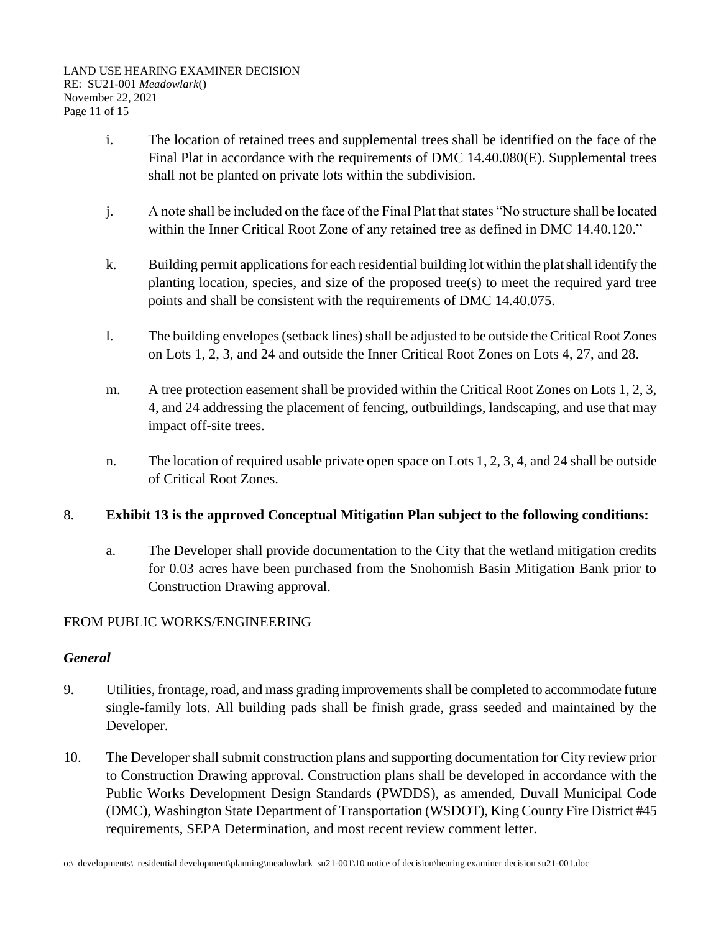- i. The location of retained trees and supplemental trees shall be identified on the face of the Final Plat in accordance with the requirements of DMC 14.40.080(E). Supplemental trees shall not be planted on private lots within the subdivision.
- j. A note shall be included on the face of the Final Plat that states "No structure shall be located within the Inner Critical Root Zone of any retained tree as defined in DMC 14.40.120."
- k. Building permit applications for each residential building lot within the plat shall identify the planting location, species, and size of the proposed tree(s) to meet the required yard tree points and shall be consistent with the requirements of DMC 14.40.075.
- l. The building envelopes (setback lines) shall be adjusted to be outside the Critical Root Zones on Lots 1, 2, 3, and 24 and outside the Inner Critical Root Zones on Lots 4, 27, and 28.
- m. A tree protection easement shall be provided within the Critical Root Zones on Lots 1, 2, 3, 4, and 24 addressing the placement of fencing, outbuildings, landscaping, and use that may impact off-site trees.
- n. The location of required usable private open space on Lots 1, 2, 3, 4, and 24 shall be outside of Critical Root Zones.

# 8. **Exhibit 13 is the approved Conceptual Mitigation Plan subject to the following conditions:**

a. The Developer shall provide documentation to the City that the wetland mitigation credits for 0.03 acres have been purchased from the Snohomish Basin Mitigation Bank prior to Construction Drawing approval.

# FROM PUBLIC WORKS/ENGINEERING

# *General*

- 9. Utilities, frontage, road, and mass grading improvements shall be completed to accommodate future single-family lots. All building pads shall be finish grade, grass seeded and maintained by the Developer.
- 10. The Developer shall submit construction plans and supporting documentation for City review prior to Construction Drawing approval. Construction plans shall be developed in accordance with the Public Works Development Design Standards (PWDDS), as amended, Duvall Municipal Code (DMC), Washington State Department of Transportation (WSDOT), King County Fire District #45 requirements, SEPA Determination, and most recent review comment letter.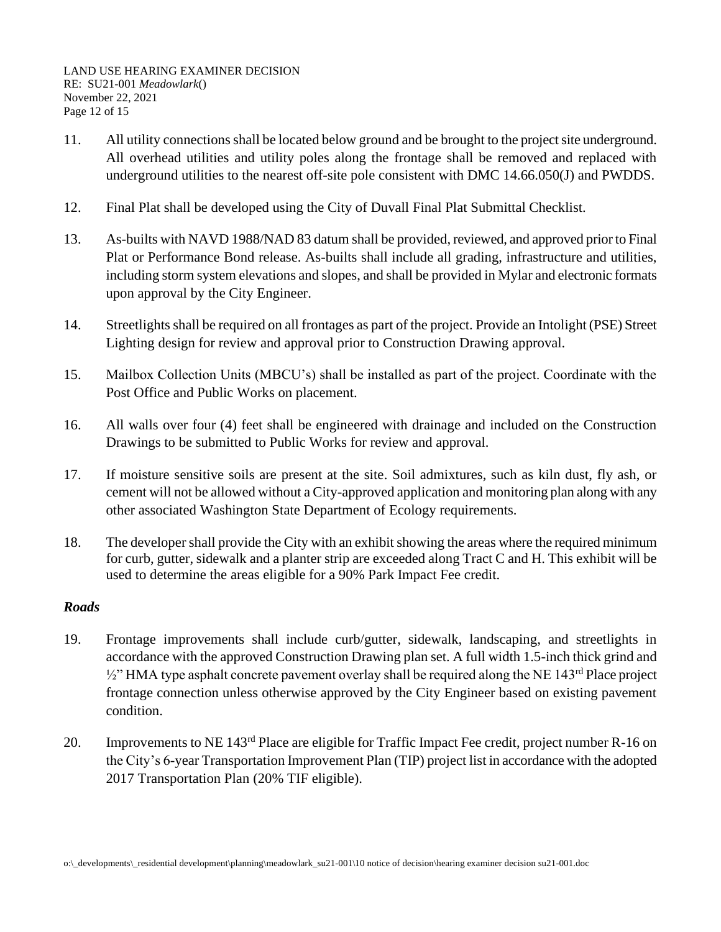- 11. All utility connections shall be located below ground and be brought to the project site underground. All overhead utilities and utility poles along the frontage shall be removed and replaced with underground utilities to the nearest off-site pole consistent with DMC 14.66.050(J) and PWDDS.
- 12. Final Plat shall be developed using the City of Duvall Final Plat Submittal Checklist.
- 13. As-builts with NAVD 1988/NAD 83 datum shall be provided, reviewed, and approved prior to Final Plat or Performance Bond release. As-builts shall include all grading, infrastructure and utilities, including storm system elevations and slopes, and shall be provided in Mylar and electronic formats upon approval by the City Engineer.
- 14. Streetlights shall be required on all frontages as part of the project. Provide an Intolight (PSE) Street Lighting design for review and approval prior to Construction Drawing approval.
- 15. Mailbox Collection Units (MBCU's) shall be installed as part of the project. Coordinate with the Post Office and Public Works on placement.
- 16. All walls over four (4) feet shall be engineered with drainage and included on the Construction Drawings to be submitted to Public Works for review and approval.
- 17. If moisture sensitive soils are present at the site. Soil admixtures, such as kiln dust, fly ash, or cement will not be allowed without a City-approved application and monitoring plan along with any other associated Washington State Department of Ecology requirements.
- 18. The developer shall provide the City with an exhibit showing the areas where the required minimum for curb, gutter, sidewalk and a planter strip are exceeded along Tract C and H. This exhibit will be used to determine the areas eligible for a 90% Park Impact Fee credit.

# *Roads*

- 19. Frontage improvements shall include curb/gutter, sidewalk, landscaping, and streetlights in accordance with the approved Construction Drawing plan set. A full width 1.5-inch thick grind and  $\frac{1}{2}$ " HMA type asphalt concrete pavement overlay shall be required along the NE 143<sup>rd</sup> Place project frontage connection unless otherwise approved by the City Engineer based on existing pavement condition.
- 20. Improvements to NE 143<sup>rd</sup> Place are eligible for Traffic Impact Fee credit, project number R-16 on the City's 6-year Transportation Improvement Plan (TIP) project list in accordance with the adopted 2017 Transportation Plan (20% TIF eligible).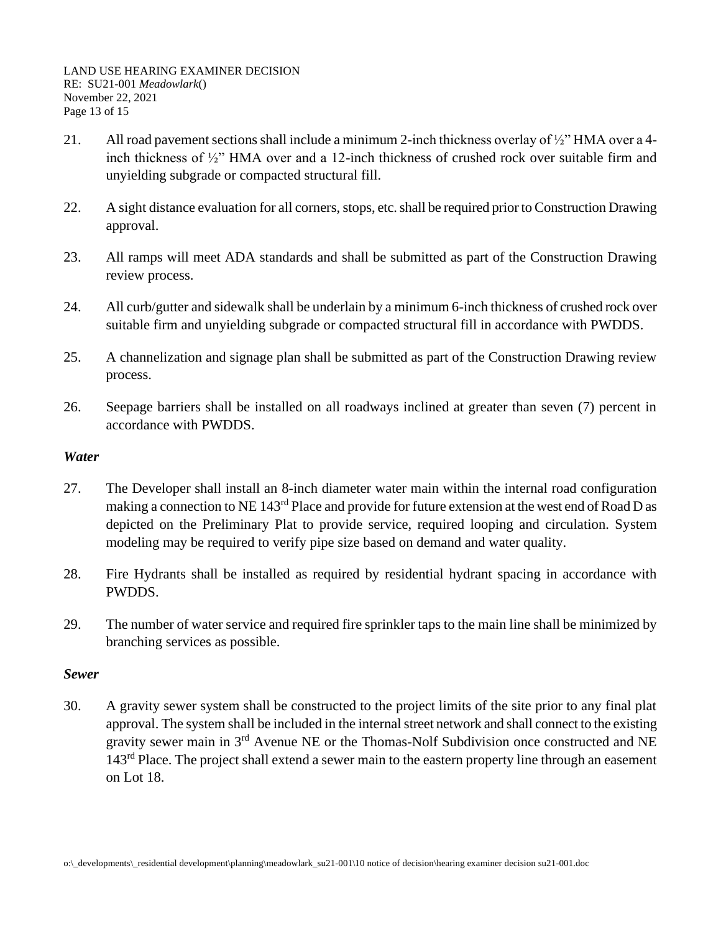LAND USE HEARING EXAMINER DECISION RE: SU21-001 *Meadowlark*() November 22, 2021 Page 13 of 15

- 21. All road pavement sections shall include a minimum 2-inch thickness overlay of ½" HMA over a 4 inch thickness of ½" HMA over and a 12-inch thickness of crushed rock over suitable firm and unyielding subgrade or compacted structural fill.
- 22. A sight distance evaluation for all corners, stops, etc. shall be required prior to Construction Drawing approval.
- 23. All ramps will meet ADA standards and shall be submitted as part of the Construction Drawing review process.
- 24. All curb/gutter and sidewalk shall be underlain by a minimum 6-inch thickness of crushed rock over suitable firm and unyielding subgrade or compacted structural fill in accordance with PWDDS.
- 25. A channelization and signage plan shall be submitted as part of the Construction Drawing review process.
- 26. Seepage barriers shall be installed on all roadways inclined at greater than seven (7) percent in accordance with PWDDS.

## *Water*

- 27. The Developer shall install an 8-inch diameter water main within the internal road configuration making a connection to NE 143<sup>rd</sup> Place and provide for future extension at the west end of Road D as depicted on the Preliminary Plat to provide service, required looping and circulation. System modeling may be required to verify pipe size based on demand and water quality.
- 28. Fire Hydrants shall be installed as required by residential hydrant spacing in accordance with PWDDS.
- 29. The number of water service and required fire sprinkler taps to the main line shall be minimized by branching services as possible.

## *Sewer*

30. A gravity sewer system shall be constructed to the project limits of the site prior to any final plat approval. The system shall be included in the internal street network and shall connect to the existing gravity sewer main in 3rd Avenue NE or the Thomas-Nolf Subdivision once constructed and NE 143<sup>rd</sup> Place. The project shall extend a sewer main to the eastern property line through an easement on Lot 18.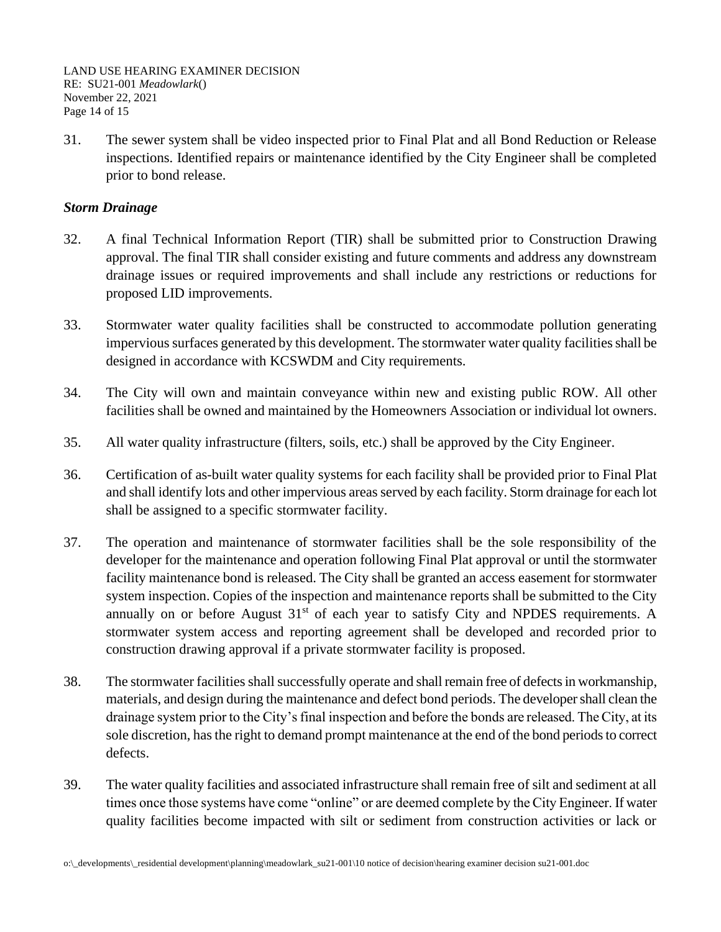LAND USE HEARING EXAMINER DECISION RE: SU21-001 *Meadowlark*() November 22, 2021 Page 14 of 15

31. The sewer system shall be video inspected prior to Final Plat and all Bond Reduction or Release inspections. Identified repairs or maintenance identified by the City Engineer shall be completed prior to bond release.

## *Storm Drainage*

- 32. A final Technical Information Report (TIR) shall be submitted prior to Construction Drawing approval. The final TIR shall consider existing and future comments and address any downstream drainage issues or required improvements and shall include any restrictions or reductions for proposed LID improvements.
- 33. Stormwater water quality facilities shall be constructed to accommodate pollution generating impervious surfaces generated by this development. The stormwater water quality facilities shall be designed in accordance with KCSWDM and City requirements.
- 34. The City will own and maintain conveyance within new and existing public ROW. All other facilities shall be owned and maintained by the Homeowners Association or individual lot owners.
- 35. All water quality infrastructure (filters, soils, etc.) shall be approved by the City Engineer.
- 36. Certification of as-built water quality systems for each facility shall be provided prior to Final Plat and shall identify lots and other impervious areas served by each facility. Storm drainage for each lot shall be assigned to a specific stormwater facility.
- 37. The operation and maintenance of stormwater facilities shall be the sole responsibility of the developer for the maintenance and operation following Final Plat approval or until the stormwater facility maintenance bond is released. The City shall be granted an access easement for stormwater system inspection. Copies of the inspection and maintenance reports shall be submitted to the City annually on or before August  $31<sup>st</sup>$  of each year to satisfy City and NPDES requirements. A stormwater system access and reporting agreement shall be developed and recorded prior to construction drawing approval if a private stormwater facility is proposed.
- 38. The stormwater facilities shall successfully operate and shall remain free of defects in workmanship, materials, and design during the maintenance and defect bond periods. The developer shall clean the drainage system prior to the City's final inspection and before the bonds are released. The City, at its sole discretion, has the right to demand prompt maintenance at the end of the bond periods to correct defects.
- 39. The water quality facilities and associated infrastructure shall remain free of silt and sediment at all times once those systems have come "online" or are deemed complete by the City Engineer. If water quality facilities become impacted with silt or sediment from construction activities or lack or